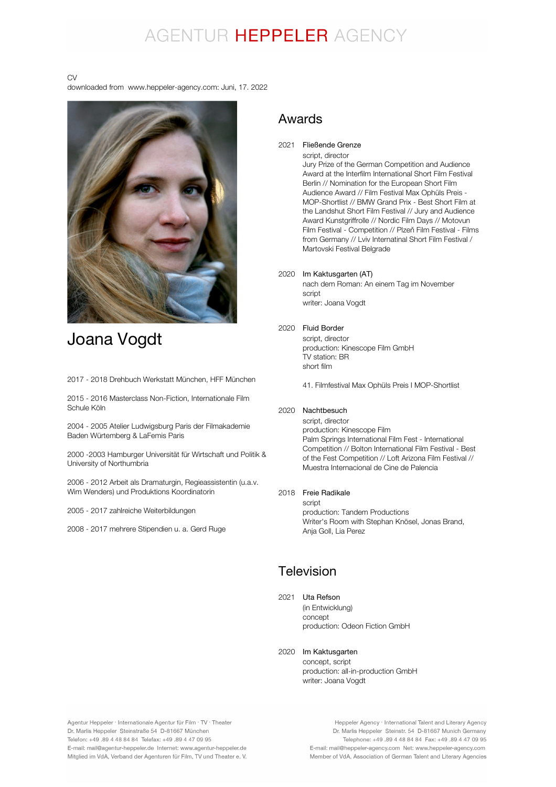## AGENTUR HEPPELER AGENCY

#### CV

downloaded from www.heppeler-agency.com: Juni, 17. 2022



## Joana Vogdt

2017 - 2018 Drehbuch Werkstatt München, HFF München

2015 - 2016 Masterclass Non-Fiction, Internationale Film Schule Köln

2004 - 2005 Atelier Ludwigsburg Paris der Filmakademie Baden Würtemberg & LaFemis Paris

2000 -2003 Hamburger Universität für Wirtschaft und Politik & University of Northumbria

2006 - 2012 Arbeit als Dramaturgin, Regieassistentin (u.a.v. Wim Wenders) und Produktions Koordinatorin

2005 - 2017 zahlreiche Weiterbildungen

2008 - 2017 mehrere Stipendien u. a. Gerd Ruge

### Awards

2021 Fließende Grenze

script, director Jury Prize of the German Competition and Audience Award at the Interfilm International Short Film Festival Berlin // Nomination for the European Short Film Audience Award // Film Festival Max Ophüls Preis - MOP-Shortlist // BMW Grand Prix - Best Short Film at the Landshut Short Film Festival // Jury and Audience Award Kunstgriffrolle // Nordic Film Days // Motovun Film Festival - Competition // Plzeň Film Festival - Films from Germany // Lviv Internatinal Short Film Festival / Martovski Festival Belgrade

#### 2020 Im Kaktusgarten (AT)

nach dem Roman: An einem Tag im November script writer: Joana Vogdt

#### 2020 Fluid Border

script, director production: Kinescope Film GmbH TV station: BR short film

41. Filmfestival Max Ophüls Preis I MOP-Shortlist

### 2020 Nachtbesuch

script, director production: Kinescope Film Palm Springs International Film Fest - International Competition // Bolton International Film Festival - Best of the Fest Competition // Loft Arizona Film Festival // Muestra Internacional de Cine de Palencia

### 2018 Freie Radikale

script production: Tandem Productions Writer's Room with Stephan Knösel, Jonas Brand, Anja Goll, Lia Perez

### Television

#### 2021 Uta Refson

(in Entwicklung) concept production: Odeon Fiction GmbH

### 2020 Im Kaktusgarten

concept, script production: all-in-production GmbH writer: Joana Vogdt

Agentur Heppeler · Internationale Agentur für Film · TV · Theater Dr. Marlis Heppeler Steinstraße 54 D-81667 München Telefon: +49.89 4 48 84 84 Telefax: +49.89 4 47 09 95 E-mail: mail@agentur-heppeler.de Internet: www.agentur-heppeler.de Mitglied im VdA, Verband der Agenturen für Film, TV und Theater e. V.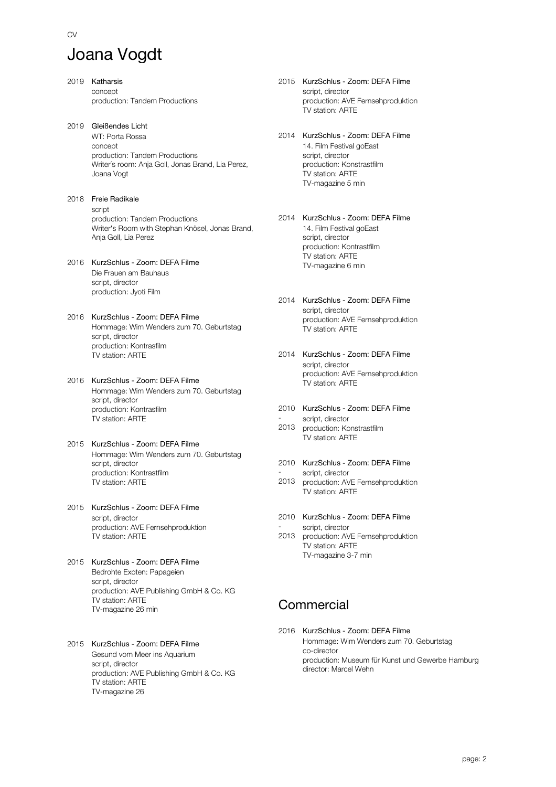## Joana Vogdt

 $C<sub>N</sub>$ 

2019 Katharsis concept production: Tandem Productions 2019 Gleißendes Licht WT: Porta Rossa concept production: Tandem Productions Writer´s room: Anja Goll, Jonas Brand, Lia Perez, Joana Vogt 2018 Freie Radikale script production: Tandem Productions Writer's Room with Stephan Knösel, Jonas Brand, Anja Goll, Lia Perez 2016 KurzSchlus - Zoom: DEFA Filme Die Frauen am Bauhaus script, director production: Jyoti Film 2016 KurzSchlus - Zoom: DEFA Filme Hommage: Wim Wenders zum 70. Geburtstag script, director production: Kontrasfilm TV station: ARTE 2016 KurzSchlus - Zoom: DEFA Filme Hommage: Wim Wenders zum 70. Geburtstag script, director production: Kontrasfilm TV station: ARTE 2015 KurzSchlus - Zoom: DEFA Filme Hommage: Wim Wenders zum 70. Geburtstag script, director production: Kontrastfilm TV station: ARTE 2015 KurzSchlus - Zoom: DEFA Filme script, director production: AVE Fernsehproduktion TV station: ARTE 2015 KurzSchlus - Zoom: DEFA Filme Bedrohte Exoten: Papageien script, director production: AVE Publishing GmbH & Co. KG TV station: ARTE TV-magazine 26 min 2015 KurzSchlus - Zoom: DEFA Filme

Gesund vom Meer ins Aquarium script, director production: AVE Publishing GmbH & Co. KG TV station: ARTE TV-magazine 26

- 2015 KurzSchlus Zoom: DEFA Filme script, director production: AVE Fernsehproduktion TV station: ARTE
- 2014 KurzSchlus Zoom: DEFA Filme 14. Film Festival goEast script, director production: Konstrastfilm TV station: ARTE TV-magazine 5 min
- 2014 KurzSchlus Zoom: DEFA Filme 14. Film Festival goEast script, director production: Kontrastfilm .<br>TV station: ARTE TV-magazine 6 min
- 2014 KurzSchlus Zoom: DEFA Filme script, director production: AVE Fernsehproduktion TV station: ARTE
- 2014 KurzSchlus Zoom: DEFA Filme script, director production: AVE Fernsehproduktion TV station: ARTE
- 2010 KurzSchlus Zoom: DEFA Filme script, director
- 2013 production: Konstrastfilm TV station: ARTE
- 2010 KurzSchlus Zoom: DEFA Filme script, director
- 2013 production: AVE Fernsehproduktion TV station: ARTE
- 2010 KurzSchlus Zoom: DEFA Filme script, director
- 2013 production: AVE Fernsehproduktion TV station: ARTE TV-magazine 3-7 min

### **Commercial**

2016 KurzSchlus - Zoom: DEFA Filme Hommage: Wim Wenders zum 70. Geburtstag co-director production: Museum für Kunst und Gewerbe Hamburg director: Marcel Wehn